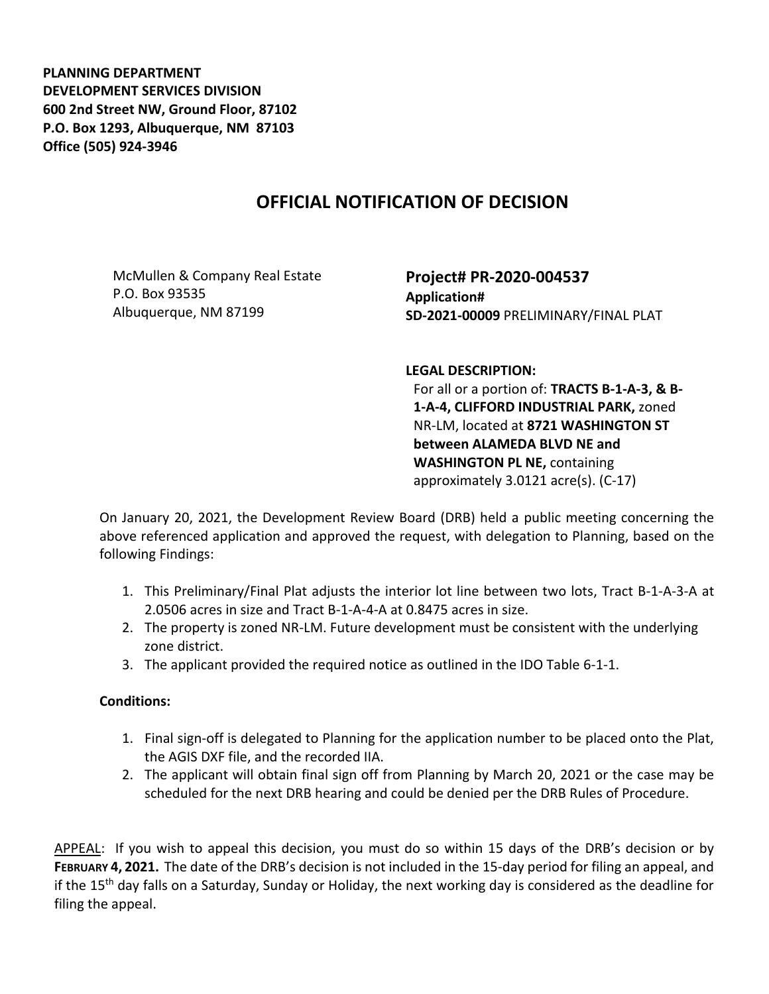**PLANNING DEPARTMENT DEVELOPMENT SERVICES DIVISION 600 2nd Street NW, Ground Floor, 87102 P.O. Box 1293, Albuquerque, NM 87103 Office (505) 924-3946** 

## **OFFICIAL NOTIFICATION OF DECISION**

McMullen & Company Real Estate P.O. Box 93535 Albuquerque, NM 87199

**Project# PR-2020-004537 Application# SD-2021-00009** PRELIMINARY/FINAL PLAT

**LEGAL DESCRIPTION:**

For all or a portion of: **TRACTS B-1-A-3, & B-1-A-4, CLIFFORD INDUSTRIAL PARK,** zoned NR-LM, located at **8721 WASHINGTON ST between ALAMEDA BLVD NE and WASHINGTON PL NE,** containing approximately 3.0121 acre(s). (C-17)

On January 20, 2021, the Development Review Board (DRB) held a public meeting concerning the above referenced application and approved the request, with delegation to Planning, based on the following Findings:

- 1. This Preliminary/Final Plat adjusts the interior lot line between two lots, Tract B-1-A-3-A at 2.0506 acres in size and Tract B-1-A-4-A at 0.8475 acres in size.
- 2. The property is zoned NR-LM. Future development must be consistent with the underlying zone district.
- 3. The applicant provided the required notice as outlined in the IDO Table 6-1-1.

## **Conditions:**

- 1. Final sign-off is delegated to Planning for the application number to be placed onto the Plat, the AGIS DXF file, and the recorded IIA.
- 2. The applicant will obtain final sign off from Planning by March 20, 2021 or the case may be scheduled for the next DRB hearing and could be denied per the DRB Rules of Procedure.

APPEAL: If you wish to appeal this decision, you must do so within 15 days of the DRB's decision or by **FEBRUARY 4, 2021.** The date of the DRB's decision is not included in the 15-day period for filing an appeal, and if the 15th day falls on a Saturday, Sunday or Holiday, the next working day is considered as the deadline for filing the appeal.